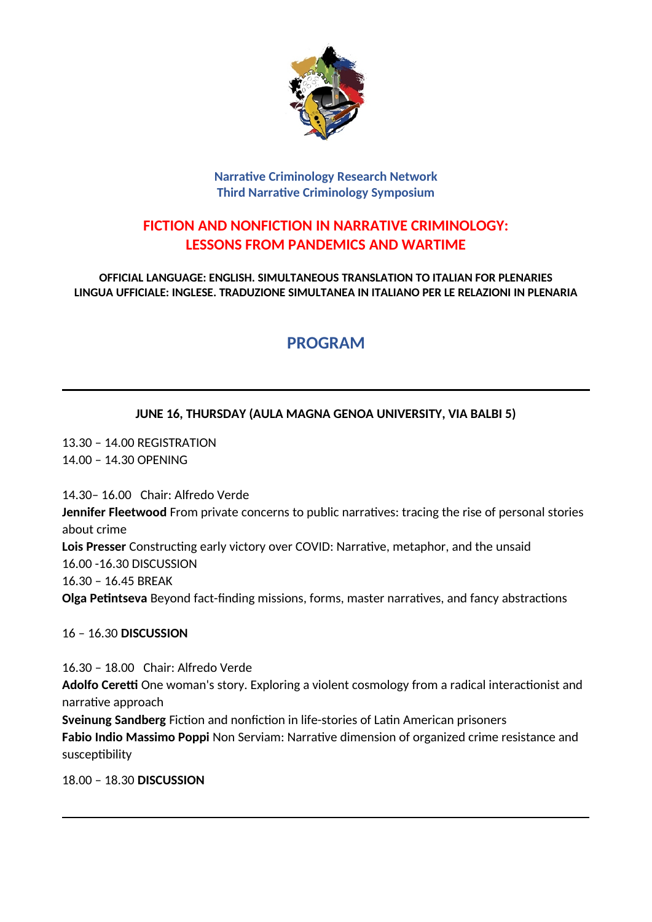

#### **Narrative Criminology Research Network Third Narrative Criminology Symposium**

## **FICTION AND NONFICTION IN NARRATIVE CRIMINOLOGY: LESSONS FROM PANDEMICS AND WARTIME**

**OFFICIAL LANGUAGE: ENGLISH. SIMULTANEOUS TRANSLATION TO ITALIAN FOR PLENARIES LINGUA UFFICIALE: INGLESE. TRADUZIONE SIMULTANEA IN ITALIANO PER LE RELAZIONI IN PLENARIA**

# **PROGRAM**

### **JUNE 16, THURSDAY (AULA MAGNA GENOA UNIVERSITY, VIA BALBI 5)**

13.30 – 14.00 REGISTRATION 14.00 – 14.30 OPENING

14.30– 16.00 Chair: Alfredo Verde **Jennifer Fleetwood** From private concerns to public narratives: tracing the rise of personal stories about crime **Lois Presser** Constructing early victory over COVID: Narrative, metaphor, and the unsaid 16.00 -16.30 DISCUSSION 16.30 – 16.45 BREAK **Olga Petintseva** Beyond fact-finding missions, forms, master narratives, and fancy abstractions

16 – 16.30 **DISCUSSION**

16.30 – 18.00 Chair: Alfredo Verde **Adolfo Ceretti** One woman's story. Exploring a violent cosmology from a radical interactionist and narrative approach **Sveinung Sandberg** Fiction and nonfiction in life-stories of Latin American prisoners **Fabio Indio Massimo Poppi** Non Serviam: Narrative dimension of organized crime resistance and

susceptibility

18.00 – 18.30 **DISCUSSION**